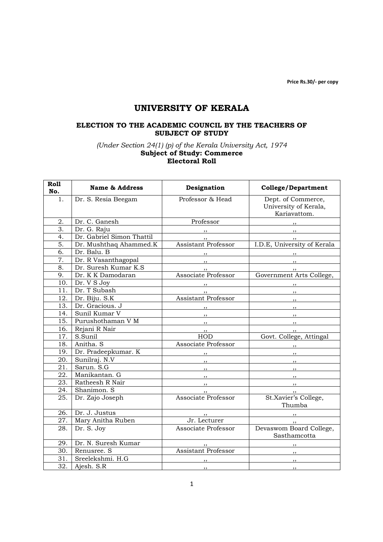Price Rs.30/- per copy

# UNIVERSITY OF KERALA

### ELECTION TO THE ACADEMIC COUNCIL BY THE TEACHERS OF SUBJECT OF STUDY

#### (Under Section 24(1) (p) of the Kerala University Act, 1974 Subject of Study: Commerce Electoral Roll

| Roll<br>No.       | <b>Name &amp; Address</b> | Designation                                                                                                                                                                                                                                                                                                                                                                                                                                                                | <b>College/Department</b>                                                                                                                                                                                                                                                                                                                                                                                                                                                  |
|-------------------|---------------------------|----------------------------------------------------------------------------------------------------------------------------------------------------------------------------------------------------------------------------------------------------------------------------------------------------------------------------------------------------------------------------------------------------------------------------------------------------------------------------|----------------------------------------------------------------------------------------------------------------------------------------------------------------------------------------------------------------------------------------------------------------------------------------------------------------------------------------------------------------------------------------------------------------------------------------------------------------------------|
| 1.                | Dr. S. Resia Beegam       | Professor & Head                                                                                                                                                                                                                                                                                                                                                                                                                                                           | Dept. of Commerce,<br>University of Kerala,<br>Kariavattom.                                                                                                                                                                                                                                                                                                                                                                                                                |
| 2.                | Dr. C. Ganesh             | Professor                                                                                                                                                                                                                                                                                                                                                                                                                                                                  |                                                                                                                                                                                                                                                                                                                                                                                                                                                                            |
| $\overline{3}$ .  | Dr. G. Raju               |                                                                                                                                                                                                                                                                                                                                                                                                                                                                            | $\overline{\phantom{a}}$                                                                                                                                                                                                                                                                                                                                                                                                                                                   |
| 4.                | Dr. Gabriel Simon Thattil |                                                                                                                                                                                                                                                                                                                                                                                                                                                                            | $\overline{\phantom{a}}$ , $\overline{\phantom{a}}$                                                                                                                                                                                                                                                                                                                                                                                                                        |
| 5.                | Dr. Mushthaq Ahammed.K    | <b>Assistant Professor</b>                                                                                                                                                                                                                                                                                                                                                                                                                                                 | I.D.E, University of Kerala                                                                                                                                                                                                                                                                                                                                                                                                                                                |
| 6.                | Dr. Balu. B               |                                                                                                                                                                                                                                                                                                                                                                                                                                                                            | $\overline{\phantom{a}}$ , $\overline{\phantom{a}}$ , $\overline{\phantom{a}}$ , $\overline{\phantom{a}}$ , $\overline{\phantom{a}}$ , $\overline{\phantom{a}}$ , $\overline{\phantom{a}}$ , $\overline{\phantom{a}}$ , $\overline{\phantom{a}}$ , $\overline{\phantom{a}}$ , $\overline{\phantom{a}}$ , $\overline{\phantom{a}}$ , $\overline{\phantom{a}}$ , $\overline{\phantom{a}}$ , $\overline{\phantom{a}}$ , $\overline{\phantom{a}}$ , $\overline{\phantom{a}}$ , |
| 7.                | Dr. R Vasanthagopal       | $\overline{\phantom{a}}$ , $\overline{\phantom{a}}$ , $\overline{\phantom{a}}$ , $\overline{\phantom{a}}$ , $\overline{\phantom{a}}$ , $\overline{\phantom{a}}$ , $\overline{\phantom{a}}$ , $\overline{\phantom{a}}$ , $\overline{\phantom{a}}$ , $\overline{\phantom{a}}$ , $\overline{\phantom{a}}$ , $\overline{\phantom{a}}$ , $\overline{\phantom{a}}$ , $\overline{\phantom{a}}$ , $\overline{\phantom{a}}$ , $\overline{\phantom{a}}$ , $\overline{\phantom{a}}$ , | $\overline{\phantom{a}}$ , $\overline{\phantom{a}}$ , $\overline{\phantom{a}}$ , $\overline{\phantom{a}}$ , $\overline{\phantom{a}}$ , $\overline{\phantom{a}}$ , $\overline{\phantom{a}}$ , $\overline{\phantom{a}}$ , $\overline{\phantom{a}}$ , $\overline{\phantom{a}}$ , $\overline{\phantom{a}}$ , $\overline{\phantom{a}}$ , $\overline{\phantom{a}}$ , $\overline{\phantom{a}}$ , $\overline{\phantom{a}}$ , $\overline{\phantom{a}}$ , $\overline{\phantom{a}}$ , |
| 8.                | Dr. Suresh Kumar K.S.     | $, \, \, \cdot$                                                                                                                                                                                                                                                                                                                                                                                                                                                            |                                                                                                                                                                                                                                                                                                                                                                                                                                                                            |
| 9.                | Dr. K K Damodaran         | Associate Professor                                                                                                                                                                                                                                                                                                                                                                                                                                                        | Government Arts College,                                                                                                                                                                                                                                                                                                                                                                                                                                                   |
| 10.               | Dr. V S Joy               | $, \, \, \cdot$                                                                                                                                                                                                                                                                                                                                                                                                                                                            | $\overline{\phantom{a}}$                                                                                                                                                                                                                                                                                                                                                                                                                                                   |
| 11.               | Dr. T Subash              | $, \,$                                                                                                                                                                                                                                                                                                                                                                                                                                                                     | $\overline{\phantom{a}}$                                                                                                                                                                                                                                                                                                                                                                                                                                                   |
| 12.               | Dr. Biju. S.K             | <b>Assistant Professor</b>                                                                                                                                                                                                                                                                                                                                                                                                                                                 | $\overline{\phantom{a}}$                                                                                                                                                                                                                                                                                                                                                                                                                                                   |
| 13.               | Dr. Gracious. J           |                                                                                                                                                                                                                                                                                                                                                                                                                                                                            | $\overline{\phantom{a}}$                                                                                                                                                                                                                                                                                                                                                                                                                                                   |
| 14.               | Sunil Kumar V             | $\overline{\phantom{a}}$                                                                                                                                                                                                                                                                                                                                                                                                                                                   | $\overline{\phantom{a}}$                                                                                                                                                                                                                                                                                                                                                                                                                                                   |
| 15.               | Purushothaman V M         | $\overline{\phantom{a}}$                                                                                                                                                                                                                                                                                                                                                                                                                                                   | $\overline{\phantom{a}}$                                                                                                                                                                                                                                                                                                                                                                                                                                                   |
| 16.               | Rejani R Nair             | , , ,                                                                                                                                                                                                                                                                                                                                                                                                                                                                      | $, \,$                                                                                                                                                                                                                                                                                                                                                                                                                                                                     |
| 17.               | S.Sunil                   | HOD                                                                                                                                                                                                                                                                                                                                                                                                                                                                        | Govt. College, Attingal                                                                                                                                                                                                                                                                                                                                                                                                                                                    |
| 18.               | Anitha. S                 | Associate Professor                                                                                                                                                                                                                                                                                                                                                                                                                                                        | $, \, \, \cdot$                                                                                                                                                                                                                                                                                                                                                                                                                                                            |
| 19.               | Dr. Pradeepkumar. K       | , ,                                                                                                                                                                                                                                                                                                                                                                                                                                                                        | $\overline{\phantom{a}}$                                                                                                                                                                                                                                                                                                                                                                                                                                                   |
| 20.               | Sunilraj. N.V             | ,,                                                                                                                                                                                                                                                                                                                                                                                                                                                                         | $\overline{\phantom{a}}$                                                                                                                                                                                                                                                                                                                                                                                                                                                   |
| 21.               | Sarun. S.G                | $, \, , \,$                                                                                                                                                                                                                                                                                                                                                                                                                                                                | ,,                                                                                                                                                                                                                                                                                                                                                                                                                                                                         |
| 22.               | Manikantan. G             | $, \, , \,$                                                                                                                                                                                                                                                                                                                                                                                                                                                                | $, \,$                                                                                                                                                                                                                                                                                                                                                                                                                                                                     |
| 23.               | Ratheesh R Nair           | $, \, \, \cdot$                                                                                                                                                                                                                                                                                                                                                                                                                                                            | $\overline{\phantom{a}}$                                                                                                                                                                                                                                                                                                                                                                                                                                                   |
| 24.               | Shanimon. S               |                                                                                                                                                                                                                                                                                                                                                                                                                                                                            | $\overline{\phantom{a}}$ ,,                                                                                                                                                                                                                                                                                                                                                                                                                                                |
| 25.               | Dr. Zajo Joseph           | Associate Professor                                                                                                                                                                                                                                                                                                                                                                                                                                                        | St.Xavier's College,<br>Thumba                                                                                                                                                                                                                                                                                                                                                                                                                                             |
| 26.               | Dr. J. Justus             | $\cdots$                                                                                                                                                                                                                                                                                                                                                                                                                                                                   | $\overline{\phantom{a}}$                                                                                                                                                                                                                                                                                                                                                                                                                                                   |
| 27.               | Mary Anitha Ruben         | Jr. Lecturer                                                                                                                                                                                                                                                                                                                                                                                                                                                               | $\frac{1}{\sqrt{2}}$                                                                                                                                                                                                                                                                                                                                                                                                                                                       |
| 28.               | Dr. S. Joy                | Associate Professor                                                                                                                                                                                                                                                                                                                                                                                                                                                        | Devaswom Board College,<br>Sasthamcotta                                                                                                                                                                                                                                                                                                                                                                                                                                    |
| 29.               | Dr. N. Suresh Kumar       | $\cdots$                                                                                                                                                                                                                                                                                                                                                                                                                                                                   |                                                                                                                                                                                                                                                                                                                                                                                                                                                                            |
| $\overline{30}$ . | Renusree. S               | Assistant Professor                                                                                                                                                                                                                                                                                                                                                                                                                                                        | , ,                                                                                                                                                                                                                                                                                                                                                                                                                                                                        |
| 31.               | Sreelekshmi. H.G          | , ,                                                                                                                                                                                                                                                                                                                                                                                                                                                                        | ,,                                                                                                                                                                                                                                                                                                                                                                                                                                                                         |
| $\overline{32.}$  | Ajesh. S.R                | $\cdots$                                                                                                                                                                                                                                                                                                                                                                                                                                                                   | , ,                                                                                                                                                                                                                                                                                                                                                                                                                                                                        |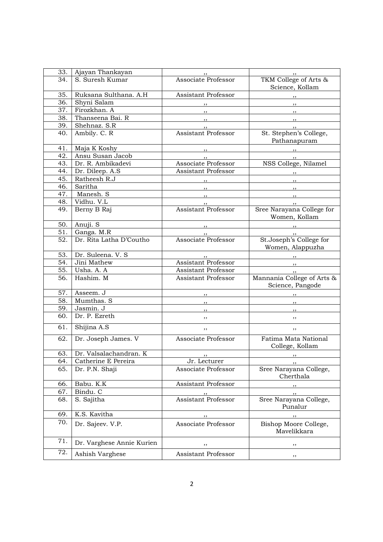| 33. | Ajayan Thankayan          | $\rightarrow$                                       | $\cdots$                                            |
|-----|---------------------------|-----------------------------------------------------|-----------------------------------------------------|
| 34. | S. Suresh Kumar           | Associate Professor                                 | TKM College of Arts &<br>Science, Kollam            |
| 35. | Ruksana Sulthana. A.H     | Assistant Professor                                 | $\overline{\phantom{a}}$                            |
| 36. | Shyni Salam               | $, \,$                                              | $\overline{\phantom{a}}$                            |
| 37. | Firozkhan. A              | $\overline{\phantom{a}}$                            | $\overline{\phantom{a}}$                            |
| 38. | Thanseena Bai. R          | $\overline{\phantom{a}}$                            | $\overline{\phantom{a}}$                            |
| 39. | Shehnaz. S.R              |                                                     | $\overline{\phantom{a}}$                            |
| 40. | Ambily. C. R              | <b>Assistant Professor</b>                          | St. Stephen's College,<br>Pathanapuram              |
| 41. | Maja K Koshy              |                                                     | $\overline{\phantom{a}}$ , $\overline{\phantom{a}}$ |
| 42. | Ansu Susan Jacob          |                                                     | $, \, \,$                                           |
| 43. | Dr. R. Ambikadevi         | Associate Professor                                 | NSS College, Nilamel                                |
| 44. | Dr. Dileep. A.S           | Assistant Professor                                 | $,$ , $-$                                           |
| 45. | Ratheesh R.J              | $, -$                                               | $, \, \,$                                           |
| 46. | Saritha                   | $\overline{\phantom{a}}$ , $\overline{\phantom{a}}$ |                                                     |
| 47. | Manesh. S                 |                                                     | $\overline{\phantom{a}}$                            |
| 48. | Vidhu. V.L                | , ,                                                 | $\overline{\phantom{a}}$ ,                          |
| 49. | Berny B Raj               | Assistant Professor                                 | Sree Narayana College for                           |
|     |                           |                                                     | Women, Kollam                                       |
| 50. | Anuji. S                  |                                                     | $\mathbf{z}$                                        |
| 51. | Ganga. M.R                | $, \, \,$                                           | $\overline{\phantom{a}}$                            |
| 52. | Dr. Rita Latha D'Coutho   | Associate Professor                                 | St.Joseph's College for<br>Women, Alappuzha         |
| 53. | Dr. Suleena. V. S         |                                                     | $, -$                                               |
| 54. | Jini Mathew               | Assistant Professor                                 | $\overline{\phantom{a}}$                            |
| 55. | Usha. A. A                | Assistant Professor                                 | $, \, \,$                                           |
| 56. | Hashim. M                 | <b>Assistant Professor</b>                          | Mannania College of Arts &<br>Science, Pangode      |
| 57. | Asseem. J                 | $, \, \, \cdot$                                     | $, \, \, \cdot$                                     |
| 58. | Mumthas. S                | $, \cdot$                                           | , ,                                                 |
| 59. | Jasmin. J                 | $, \,$                                              | $, \, , \,$                                         |
| 60. | Dr. P. Ezreth             | $, \,$                                              | ,,                                                  |
| 61. | Shijina A.S               | ,,                                                  | ,,                                                  |
| 62. | Dr. Joseph James. V       | Associate Professor                                 | Fatima Mata National<br>College, Kollam             |
| 63. | Dr. Valsalachandran. K    | , ,                                                 |                                                     |
| 64. | Catherine E Pereira       | Jr. Lecturer                                        | , ,                                                 |
| 65. | Dr. P.N. Shaji            | Associate Professor                                 | Sree Narayana College,<br>Cherthala                 |
| 66. | Babu. K.K                 | Assistant Professor                                 | ,,                                                  |
| 67. | Bindu. C                  |                                                     | ,,                                                  |
| 68. | S. Sajitha                | Assistant Professor                                 | Sree Narayana College,<br>Punalur                   |
| 69. | K.S. Kavitha              | ,,                                                  | $, \,$                                              |
| 70. | Dr. Sajeev. V.P.          | Associate Professor                                 | Bishop Moore College,<br>Mavelikkara                |
| 71. | Dr. Varghese Annie Kurien | ,,                                                  | ,,                                                  |
| 72. | Ashish Varghese           | Assistant Professor                                 | ,,                                                  |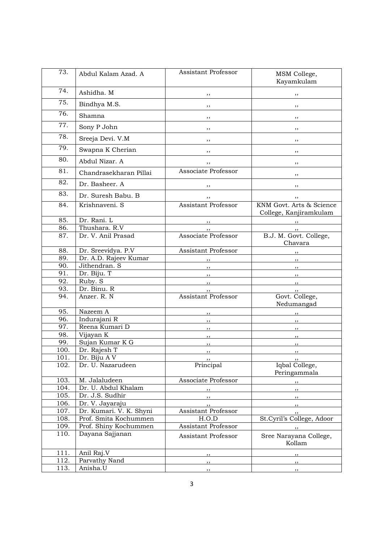| 73.  | Abdul Kalam Azad. A               | <b>Assistant Professor</b> | MSM College,<br>Kayamkulam                         |
|------|-----------------------------------|----------------------------|----------------------------------------------------|
| 74.  | Ashidha. M                        | , ,                        | ,,                                                 |
| 75.  | Bindhya M.S.                      | ,,                         | ,,                                                 |
| 76.  | Shamna                            | , ,                        | , ,                                                |
| 77.  | Sony P John                       | ,,                         | ,,                                                 |
| 78.  | Sreeja Devi. V.M                  | ,,                         | ,,                                                 |
| 79.  | Swapna K Cherian                  | ,,                         | ,,                                                 |
| 80.  | Abdul Nizar. A                    | ,,                         | ,,                                                 |
| 81.  | Chandrasekharan Pillai            | Associate Professor        | ,,                                                 |
| 82.  | Dr. Basheer. A                    | ,,                         | ,,                                                 |
| 83.  | Dr. Suresh Babu. B                | ,,                         | ,,                                                 |
| 84.  | Krishnaveni. S                    | Assistant Professor        | KNM Govt. Arts & Science<br>College, Kanjiramkulam |
| 85.  | Dr. Rani. L                       |                            | , ,                                                |
| 86.  | Thushara. R.V                     |                            | ,,                                                 |
| 87.  | Dr. V. Anil Prasad                | Associate Professor        | B.J. M. Govt. College,<br>Chavara                  |
| 88.  | Dr. Sreevidya. P.V                | Assistant Professor        | $\overline{\phantom{a}}$                           |
| 89.  | Dr. A.D. Rajeev Kumar             | , ,                        | $\overline{\phantom{a}}$                           |
| 90.  | Jithendran. S                     | $\overline{\phantom{a}}$   | $\overline{\phantom{a}}$                           |
| 91.  | Dr. Biju. T                       | $\overline{\phantom{a}}$   | $\overline{\phantom{a}}$                           |
| 92.  | Ruby. S                           | $, \,$                     | $, \, \,$                                          |
| 93.  | Dr. Binu. R                       | ,,                         | ,,                                                 |
| 94.  | Anzer. R. N                       | <b>Assistant Professor</b> | Govt. College,<br>Nedumangad                       |
| 95.  | Nazeem A                          | $, \,$                     | ,,                                                 |
| 96.  | Indurajani R                      | $, \,$                     | , ,                                                |
| 97.  | Reena Kumari D                    | , ,                        | , ,                                                |
| 98.  | Vijayan K                         | , ,                        | , ,                                                |
| 99.  | Sujan Kumar K G                   | , ,                        | $, \,$                                             |
| 100. | Dr. Rajesh T                      | , ,                        | $, \,$                                             |
| 101. | Dr. Biju A V<br>Dr. U. Nazarudeen | , ,                        | , ,<br>Iqbal College,                              |
| 102. |                                   | Principal                  | Peringammala                                       |
| 103. | M. Jalaludeen                     | Associate Professor        | $, \, \cdot$                                       |
| 104. | Dr. U. Abdul Khalam               | , ,                        | $, \,$                                             |
| 105. | Dr. J.S. Sudhir                   | $, \, \,$                  | $, \, \,$                                          |
| 106. | Dr. V. Jayaraju                   | $, \,$                     | $, \,$                                             |
| 107. | Dr. Kumari. V. K. Shyni           | Assistant Professor        | , ,                                                |
| 108. | Prof. Smita Kochummen             | H.O.D                      | St.Cyril's College, Adoor                          |
| 109. | Prof. Shiny Kochummen             | Assistant Professor        | $, \, \, \cdot$                                    |
| 110. | Dayana Sajjanan                   | Assistant Professor        | Sree Narayana College,<br>Kollam                   |
| 111. | Anil Raj.V                        | $, \,$                     | $, \, \cdot$                                       |
| 112. | Parvathy Nand                     | ,,                         | ,,                                                 |
| 113. | Anisha.U                          | , ,                        | , ,                                                |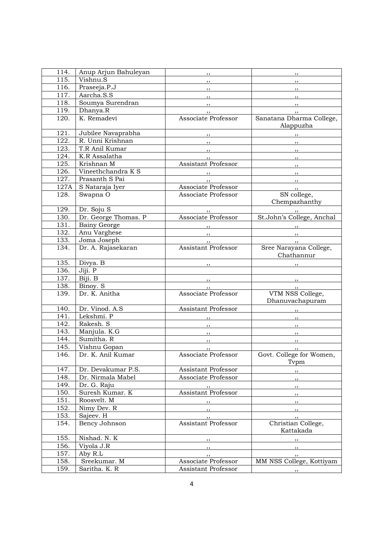| 114.               | Anup Arjun Bahuleyan | $, \,$                                              | $, \,$                                                                                                                                                                                                                                                                                                                                                                                                                                                                     |
|--------------------|----------------------|-----------------------------------------------------|----------------------------------------------------------------------------------------------------------------------------------------------------------------------------------------------------------------------------------------------------------------------------------------------------------------------------------------------------------------------------------------------------------------------------------------------------------------------------|
| 115.               | Vishnu.S             | $, \, , \,$                                         | $, \, \,$                                                                                                                                                                                                                                                                                                                                                                                                                                                                  |
| 116.               | Praseeja.P.J         | $, \, \, \cdot$                                     | $, \, \,$                                                                                                                                                                                                                                                                                                                                                                                                                                                                  |
| 117.               | Aarcha.S.S           |                                                     |                                                                                                                                                                                                                                                                                                                                                                                                                                                                            |
| 118.               | Soumya Surendran     |                                                     | $\sim$ $\sim$ $\sim$                                                                                                                                                                                                                                                                                                                                                                                                                                                       |
| 119.               | Dhanya.R             |                                                     |                                                                                                                                                                                                                                                                                                                                                                                                                                                                            |
| 120.               | K. Remadevi          | , 1<br>Associate Professor                          | $, \, \,$<br>Sanatana Dharma College,                                                                                                                                                                                                                                                                                                                                                                                                                                      |
|                    |                      |                                                     | Alappuzha                                                                                                                                                                                                                                                                                                                                                                                                                                                                  |
| 121.               | Jubilee Navaprabha   |                                                     |                                                                                                                                                                                                                                                                                                                                                                                                                                                                            |
| $\overline{122}$ . | R. Unni Krishnan     |                                                     | $, \, \,$                                                                                                                                                                                                                                                                                                                                                                                                                                                                  |
| 123.               | T.R Anil Kumar       | $, \underline{\qquad}$                              | $\overline{\phantom{a}}$                                                                                                                                                                                                                                                                                                                                                                                                                                                   |
| 124.               | K.R Assalatha        |                                                     | $\overline{\phantom{a}}$ , $\overline{\phantom{a}}$                                                                                                                                                                                                                                                                                                                                                                                                                        |
| 125.               | Krishnan M           | Assistant Professor                                 | $\overline{\phantom{a}}$                                                                                                                                                                                                                                                                                                                                                                                                                                                   |
|                    |                      |                                                     |                                                                                                                                                                                                                                                                                                                                                                                                                                                                            |
| 126.               | Vineethchandra K S   | $\overline{\phantom{a}}$ , $\overline{\phantom{a}}$ | $\overline{\phantom{a}}$ , $\overline{\phantom{a}}$ , $\overline{\phantom{a}}$ , $\overline{\phantom{a}}$ , $\overline{\phantom{a}}$ , $\overline{\phantom{a}}$ , $\overline{\phantom{a}}$ , $\overline{\phantom{a}}$ , $\overline{\phantom{a}}$ , $\overline{\phantom{a}}$ , $\overline{\phantom{a}}$ , $\overline{\phantom{a}}$ , $\overline{\phantom{a}}$ , $\overline{\phantom{a}}$ , $\overline{\phantom{a}}$ , $\overline{\phantom{a}}$ , $\overline{\phantom{a}}$ , |
| 127.               | Prasanth S Pai       |                                                     |                                                                                                                                                                                                                                                                                                                                                                                                                                                                            |
| 127A               | S Nataraja Iyer      | Associate Professor                                 | $, \, \,$                                                                                                                                                                                                                                                                                                                                                                                                                                                                  |
| 128.               | Swapna O             | Associate Professor                                 | SN college,                                                                                                                                                                                                                                                                                                                                                                                                                                                                |
|                    |                      |                                                     | Chempazhanthy                                                                                                                                                                                                                                                                                                                                                                                                                                                              |
| 129.               | Dr. Soju S           |                                                     | $\, \,$ ,, $\,$                                                                                                                                                                                                                                                                                                                                                                                                                                                            |
| 130.               | Dr. George Thomas. P | Associate Professor                                 | St.John's College, Anchal                                                                                                                                                                                                                                                                                                                                                                                                                                                  |
| 131.               | <b>Bainy George</b>  |                                                     | $\,$ ,, $\,$                                                                                                                                                                                                                                                                                                                                                                                                                                                               |
| 132.               | Anu Varghese         |                                                     | $\overline{\phantom{a}}$                                                                                                                                                                                                                                                                                                                                                                                                                                                   |
| 133.               | Joma Joseph          |                                                     |                                                                                                                                                                                                                                                                                                                                                                                                                                                                            |
| 134.               | Dr. A. Rajasekaran   | Assistant Professor                                 | Sree Narayana College,                                                                                                                                                                                                                                                                                                                                                                                                                                                     |
|                    |                      |                                                     | Chathannur                                                                                                                                                                                                                                                                                                                                                                                                                                                                 |
| 135.               | Divya. B             | , ,                                                 |                                                                                                                                                                                                                                                                                                                                                                                                                                                                            |
| 136.               | Jiji. P              |                                                     |                                                                                                                                                                                                                                                                                                                                                                                                                                                                            |
| 137.               | Biji. B              | $\overline{\phantom{a}}$                            |                                                                                                                                                                                                                                                                                                                                                                                                                                                                            |
| 138.               | Binoy. S             |                                                     | $\frac{1}{2}$                                                                                                                                                                                                                                                                                                                                                                                                                                                              |
| 139.               | Dr. K. Anitha        | Associate Professor                                 | VTM NSS College,                                                                                                                                                                                                                                                                                                                                                                                                                                                           |
|                    |                      |                                                     | Dhanuvachapuram                                                                                                                                                                                                                                                                                                                                                                                                                                                            |
| 140.               | Dr. Vinod. A.S       | Assistant Professor                                 | $\overline{\phantom{a}}$                                                                                                                                                                                                                                                                                                                                                                                                                                                   |
| 141.               | Lekshmi. P           | $, \, \, \cdot$                                     | $\overline{\phantom{a}}$                                                                                                                                                                                                                                                                                                                                                                                                                                                   |
| 142.               | Rakesh. S            | $, \, \,$                                           | $\overline{\phantom{a}}$                                                                                                                                                                                                                                                                                                                                                                                                                                                   |
| 143.               | Manjula. K.G         |                                                     |                                                                                                                                                                                                                                                                                                                                                                                                                                                                            |
| 144.               | Sumitha. R           | $, \, \,$                                           | $\overline{\phantom{a}}$                                                                                                                                                                                                                                                                                                                                                                                                                                                   |
| 145.               | Vishnu Gopan         | , 1                                                 | $\overline{\phantom{a}}$                                                                                                                                                                                                                                                                                                                                                                                                                                                   |
| 146.               | Dr. K. Anil Kumar    | , , ,<br>Associate Professor                        | $\qquad \qquad \bullet$<br>Govt. College for Women,                                                                                                                                                                                                                                                                                                                                                                                                                        |
|                    |                      |                                                     | Tvpm                                                                                                                                                                                                                                                                                                                                                                                                                                                                       |
| 147.               | Dr. Devakumar P.S.   | Assistant Professor                                 |                                                                                                                                                                                                                                                                                                                                                                                                                                                                            |
| 148.               | Dr. Nirmala Mabel    | Associate Professor                                 | ,,                                                                                                                                                                                                                                                                                                                                                                                                                                                                         |
| 149.               | Dr. G. Raju          |                                                     | ,,                                                                                                                                                                                                                                                                                                                                                                                                                                                                         |
| 150.               | Suresh Kumar. K      | $, \,$<br>Assistant Professor                       | $, \,$                                                                                                                                                                                                                                                                                                                                                                                                                                                                     |
|                    |                      |                                                     | ,,                                                                                                                                                                                                                                                                                                                                                                                                                                                                         |
| 151.               | Roosvelt. M          | ,,                                                  | ,,                                                                                                                                                                                                                                                                                                                                                                                                                                                                         |
| 152.               | Nimy Dev. R          | ,,                                                  | ,,                                                                                                                                                                                                                                                                                                                                                                                                                                                                         |
| 153.               | Sajeev. H            | ,,                                                  | $, \,$                                                                                                                                                                                                                                                                                                                                                                                                                                                                     |
| 154.               | Bency Johnson        | <b>Assistant Professor</b>                          | Christian College,                                                                                                                                                                                                                                                                                                                                                                                                                                                         |
|                    |                      |                                                     | Kattakada                                                                                                                                                                                                                                                                                                                                                                                                                                                                  |
| 155.               | Nishad. N. K         |                                                     | ,,                                                                                                                                                                                                                                                                                                                                                                                                                                                                         |
| 156.               | Viyola J.R           | ,,                                                  | ,,                                                                                                                                                                                                                                                                                                                                                                                                                                                                         |
| 157.               | Aby R.L              | ,,                                                  | ,,                                                                                                                                                                                                                                                                                                                                                                                                                                                                         |
| 158.               | Sreekumar. M         | Associate Professor                                 | MM NSS College, Kottiyam                                                                                                                                                                                                                                                                                                                                                                                                                                                   |
| 159.               | Saritha. K. R        | Assistant Professor                                 | $, \, \,$                                                                                                                                                                                                                                                                                                                                                                                                                                                                  |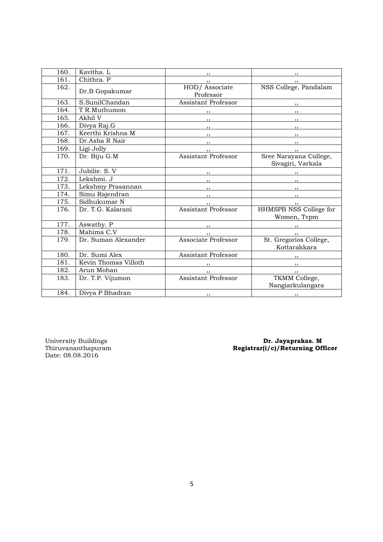| 160. | Kavitha. L           | $, \,$                     | $, \, \,$                                           |
|------|----------------------|----------------------------|-----------------------------------------------------|
| 161. | Chithra. P           |                            |                                                     |
| 162. | Dr.B Gopakumar       | HOD/Associate<br>Professor | , ,<br>NSS College, Pandalam                        |
| 163. | S.SunilChandan       | Assistant Professor        | $\overline{\phantom{a}}$                            |
| 164. | T R.Muthumon         | $, \,$                     | $\cdots$                                            |
| 165. | Akhil V              | $\overline{\phantom{a}}$   | $\overline{\phantom{a}}$                            |
| 166. | Divya Raj.G          | $\overline{\phantom{a}}$   | $\overline{\phantom{a}}$                            |
| 167. | Keerthi Krishna M    | $\overline{\phantom{a}}$   | $\overline{\phantom{a}}$                            |
| 168. | Dr.Asha R Nair       | $\overline{\phantom{a}}$   | $, \, \, \cdot$                                     |
| 169. | Ligi Jolly           |                            | , ,                                                 |
| 170. | Dr. Biju G.M         | <b>Assistant Professor</b> | Sree Narayana College,<br>Sivagiri, Varkala         |
| 171. | Jubilie. S. V        | $\overline{\phantom{a}}$   | $\overline{\phantom{a}}$                            |
| 172. | Lekshmi. J           | $, \, \, \cdot$            | $\cdots$                                            |
| 173. | Lekshmy Prasannan    | $\overline{\phantom{a}}$   | $\overline{\phantom{a}}$                            |
| 174. | Simu Rajendran       | $\overline{\phantom{a}}$   | $\overline{\phantom{a}}$                            |
| 175. | Sidhukumar N         | , ,                        | $, \, \,$                                           |
| 176. | Dr. T.G. Kalarani    | <b>Assistant Professor</b> | HHMSPB NSS College for<br>Women, Tvpm               |
| 177. | Aswathy. P           |                            | $\overline{\phantom{a}}$                            |
| 178. | Mahima C.V           | $, \, \cdot$               | $, \, \,$                                           |
| 179. | Dr. Suman Alexander  | Associate Professor        | St. Gregorios College,<br>Kottarakkara              |
| 180. | Dr. Sumi Alex        | Assistant Professor        | $\overline{\phantom{a}}$                            |
| 181. | Kevin Thomas Villoth |                            | $\overline{\phantom{a}}$                            |
| 182. | Arun Mohan           | $, \, \, \cdot$            | $, \, \, \cdot$                                     |
| 183. | Dr. T.P. Vijumon     | Assistant Professor        | TKMM College,<br>Nangiarkulangara                   |
| 184. | Divya P Bhadran      | , ,                        | $\overline{\phantom{a}}$ , $\overline{\phantom{a}}$ |

University Buildings<br>Thiruvananthapuram<br>Date: 08.08.2016

University Buildings **Dr. Jayaprakas. M** Thiruvananthapuram Registrar(i/c)/Returning Officer